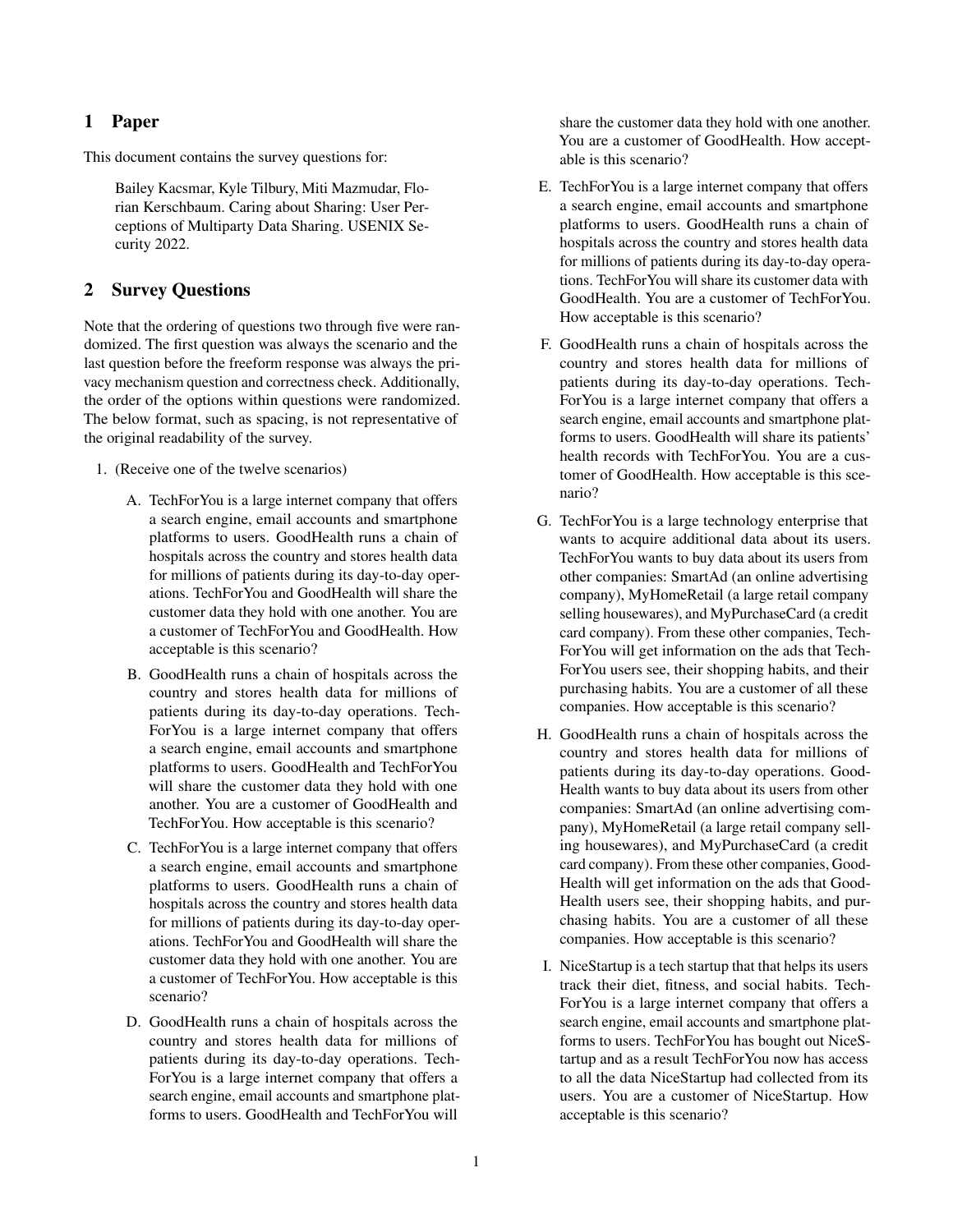## 1 Paper

This document contains the survey questions for:

Bailey Kacsmar, Kyle Tilbury, Miti Mazmudar, Florian Kerschbaum. Caring about Sharing: User Perceptions of Multiparty Data Sharing. USENIX Security 2022.

## 2 Survey Questions

Note that the ordering of questions two through five were randomized. The first question was always the scenario and the last question before the freeform response was always the privacy mechanism question and correctness check. Additionally, the order of the options within questions were randomized. The below format, such as spacing, is not representative of the original readability of the survey.

- 1. (Receive one of the twelve scenarios)
	- A. TechForYou is a large internet company that offers a search engine, email accounts and smartphone platforms to users. GoodHealth runs a chain of hospitals across the country and stores health data for millions of patients during its day-to-day operations. TechForYou and GoodHealth will share the customer data they hold with one another. You are a customer of TechForYou and GoodHealth. How acceptable is this scenario?
	- B. GoodHealth runs a chain of hospitals across the country and stores health data for millions of patients during its day-to-day operations. Tech-ForYou is a large internet company that offers a search engine, email accounts and smartphone platforms to users. GoodHealth and TechForYou will share the customer data they hold with one another. You are a customer of GoodHealth and TechForYou. How acceptable is this scenario?
	- C. TechForYou is a large internet company that offers a search engine, email accounts and smartphone platforms to users. GoodHealth runs a chain of hospitals across the country and stores health data for millions of patients during its day-to-day operations. TechForYou and GoodHealth will share the customer data they hold with one another. You are a customer of TechForYou. How acceptable is this scenario?
	- D. GoodHealth runs a chain of hospitals across the country and stores health data for millions of patients during its day-to-day operations. Tech-ForYou is a large internet company that offers a search engine, email accounts and smartphone platforms to users. GoodHealth and TechForYou will

share the customer data they hold with one another. You are a customer of GoodHealth. How acceptable is this scenario?

- E. TechForYou is a large internet company that offers a search engine, email accounts and smartphone platforms to users. GoodHealth runs a chain of hospitals across the country and stores health data for millions of patients during its day-to-day operations. TechForYou will share its customer data with GoodHealth. You are a customer of TechForYou. How acceptable is this scenario?
- F. GoodHealth runs a chain of hospitals across the country and stores health data for millions of patients during its day-to-day operations. Tech-ForYou is a large internet company that offers a search engine, email accounts and smartphone platforms to users. GoodHealth will share its patients' health records with TechForYou. You are a customer of GoodHealth. How acceptable is this scenario?
- G. TechForYou is a large technology enterprise that wants to acquire additional data about its users. TechForYou wants to buy data about its users from other companies: SmartAd (an online advertising company), MyHomeRetail (a large retail company selling housewares), and MyPurchaseCard (a credit card company). From these other companies, Tech-ForYou will get information on the ads that Tech-ForYou users see, their shopping habits, and their purchasing habits. You are a customer of all these companies. How acceptable is this scenario?
- H. GoodHealth runs a chain of hospitals across the country and stores health data for millions of patients during its day-to-day operations. Good-Health wants to buy data about its users from other companies: SmartAd (an online advertising company), MyHomeRetail (a large retail company selling housewares), and MyPurchaseCard (a credit card company). From these other companies, Good-Health will get information on the ads that Good-Health users see, their shopping habits, and purchasing habits. You are a customer of all these companies. How acceptable is this scenario?
- I. NiceStartup is a tech startup that that helps its users track their diet, fitness, and social habits. Tech-ForYou is a large internet company that offers a search engine, email accounts and smartphone platforms to users. TechForYou has bought out NiceStartup and as a result TechForYou now has access to all the data NiceStartup had collected from its users. You are a customer of NiceStartup. How acceptable is this scenario?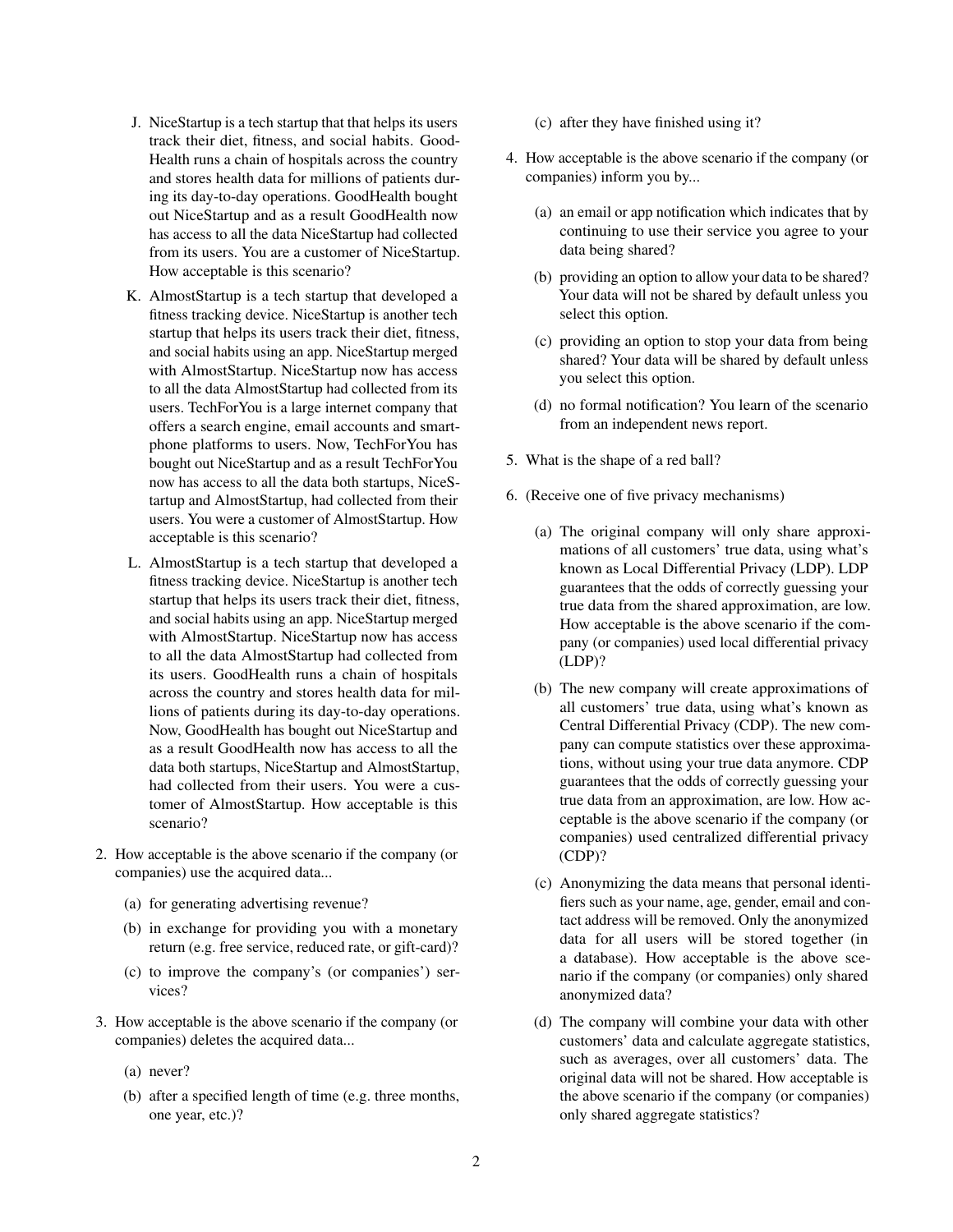- J. NiceStartup is a tech startup that that helps its users track their diet, fitness, and social habits. Good-Health runs a chain of hospitals across the country and stores health data for millions of patients during its day-to-day operations. GoodHealth bought out NiceStartup and as a result GoodHealth now has access to all the data NiceStartup had collected from its users. You are a customer of NiceStartup. How acceptable is this scenario?
- K. AlmostStartup is a tech startup that developed a fitness tracking device. NiceStartup is another tech startup that helps its users track their diet, fitness, and social habits using an app. NiceStartup merged with AlmostStartup. NiceStartup now has access to all the data AlmostStartup had collected from its users. TechForYou is a large internet company that offers a search engine, email accounts and smartphone platforms to users. Now, TechForYou has bought out NiceStartup and as a result TechForYou now has access to all the data both startups, NiceStartup and AlmostStartup, had collected from their users. You were a customer of AlmostStartup. How acceptable is this scenario?
- L. AlmostStartup is a tech startup that developed a fitness tracking device. NiceStartup is another tech startup that helps its users track their diet, fitness, and social habits using an app. NiceStartup merged with AlmostStartup. NiceStartup now has access to all the data AlmostStartup had collected from its users. GoodHealth runs a chain of hospitals across the country and stores health data for millions of patients during its day-to-day operations. Now, GoodHealth has bought out NiceStartup and as a result GoodHealth now has access to all the data both startups, NiceStartup and AlmostStartup, had collected from their users. You were a customer of AlmostStartup. How acceptable is this scenario?
- 2. How acceptable is the above scenario if the company (or companies) use the acquired data...
	- (a) for generating advertising revenue?
	- (b) in exchange for providing you with a monetary return (e.g. free service, reduced rate, or gift-card)?
	- (c) to improve the company's (or companies') services?
- 3. How acceptable is the above scenario if the company (or companies) deletes the acquired data...
	- (a) never?
	- (b) after a specified length of time (e.g. three months, one year, etc.)?
- (c) after they have finished using it?
- 4. How acceptable is the above scenario if the company (or companies) inform you by...
	- (a) an email or app notification which indicates that by continuing to use their service you agree to your data being shared?
	- (b) providing an option to allow your data to be shared? Your data will not be shared by default unless you select this option.
	- (c) providing an option to stop your data from being shared? Your data will be shared by default unless you select this option.
	- (d) no formal notification? You learn of the scenario from an independent news report.
- 5. What is the shape of a red ball?
- 6. (Receive one of five privacy mechanisms)
	- (a) The original company will only share approximations of all customers' true data, using what's known as Local Differential Privacy (LDP). LDP guarantees that the odds of correctly guessing your true data from the shared approximation, are low. How acceptable is the above scenario if the company (or companies) used local differential privacy (LDP)?
	- (b) The new company will create approximations of all customers' true data, using what's known as Central Differential Privacy (CDP). The new company can compute statistics over these approximations, without using your true data anymore. CDP guarantees that the odds of correctly guessing your true data from an approximation, are low. How acceptable is the above scenario if the company (or companies) used centralized differential privacy (CDP)?
	- (c) Anonymizing the data means that personal identifiers such as your name, age, gender, email and contact address will be removed. Only the anonymized data for all users will be stored together (in a database). How acceptable is the above scenario if the company (or companies) only shared anonymized data?
	- (d) The company will combine your data with other customers' data and calculate aggregate statistics, such as averages, over all customers' data. The original data will not be shared. How acceptable is the above scenario if the company (or companies) only shared aggregate statistics?